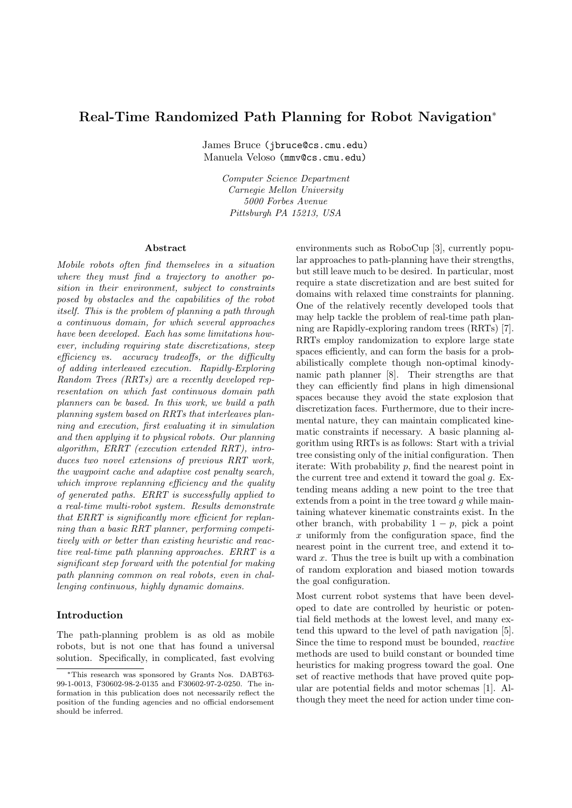# Real-Time Randomized Path Planning for Robot Navigation<sup>∗</sup>

James Bruce (jbruce@cs.cmu.edu) Manuela Veloso (mmv@cs.cmu.edu)

> Computer Science Department Carnegie Mellon University 5000 Forbes Avenue Pittsburgh PA 15213, USA

#### Abstract

Mobile robots often find themselves in a situation where they must find a trajectory to another position in their environment, subject to constraints posed by obstacles and the capabilities of the robot itself. This is the problem of planning a path through a continuous domain, for which several approaches have been developed. Each has some limitations however, including requiring state discretizations, steep efficiency vs. accuracy tradeoffs, or the difficulty of adding interleaved execution. Rapidly-Exploring Random Trees (RRTs) are a recently developed representation on which fast continuous domain path planners can be based. In this work, we build a path planning system based on RRTs that interleaves planning and execution, first evaluating it in simulation and then applying it to physical robots. Our planning algorithm, ERRT (execution extended RRT), introduces two novel extensions of previous RRT work, the waypoint cache and adaptive cost penalty search, which improve replanning efficiency and the quality of generated paths. ERRT is successfully applied to a real-time multi-robot system. Results demonstrate that ERRT is significantly more efficient for replanning than a basic RRT planner, performing competitively with or better than existing heuristic and reactive real-time path planning approaches. ERRT is a significant step forward with the potential for making path planning common on real robots, even in challenging continuous, highly dynamic domains.

#### Introduction

The path-planning problem is as old as mobile robots, but is not one that has found a universal solution. Specifically, in complicated, fast evolving environments such as RoboCup [3], currently popular approaches to path-planning have their strengths, but still leave much to be desired. In particular, most require a state discretization and are best suited for domains with relaxed time constraints for planning. One of the relatively recently developed tools that may help tackle the problem of real-time path planning are Rapidly-exploring random trees (RRTs) [7]. RRTs employ randomization to explore large state spaces efficiently, and can form the basis for a probabilistically complete though non-optimal kinodynamic path planner [8]. Their strengths are that they can efficiently find plans in high dimensional spaces because they avoid the state explosion that discretization faces. Furthermore, due to their incremental nature, they can maintain complicated kinematic constraints if necessary. A basic planning algorithm using RRTs is as follows: Start with a trivial tree consisting only of the initial configuration. Then iterate: With probability  $p$ , find the nearest point in the current tree and extend it toward the goal  $q$ . Extending means adding a new point to the tree that extends from a point in the tree toward  $q$  while maintaining whatever kinematic constraints exist. In the other branch, with probability  $1 - p$ , pick a point x uniformly from the configuration space, find the nearest point in the current tree, and extend it toward  $x$ . Thus the tree is built up with a combination of random exploration and biased motion towards the goal configuration.

Most current robot systems that have been developed to date are controlled by heuristic or potential field methods at the lowest level, and many extend this upward to the level of path navigation [5]. Since the time to respond must be bounded, reactive methods are used to build constant or bounded time heuristics for making progress toward the goal. One set of reactive methods that have proved quite popular are potential fields and motor schemas [1]. Although they meet the need for action under time con-

<sup>∗</sup>This research was sponsored by Grants Nos. DABT63- 99-1-0013, F30602-98-2-0135 and F30602-97-2-0250. The information in this publication does not necessarily reflect the position of the funding agencies and no official endorsement should be inferred.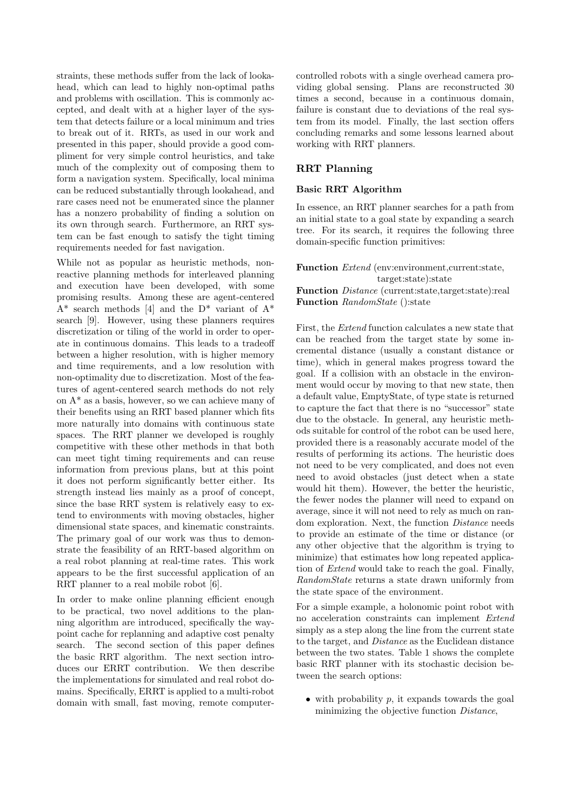straints, these methods suffer from the lack of lookahead, which can lead to highly non-optimal paths and problems with oscillation. This is commonly accepted, and dealt with at a higher layer of the system that detects failure or a local minimum and tries to break out of it. RRTs, as used in our work and presented in this paper, should provide a good compliment for very simple control heuristics, and take much of the complexity out of composing them to form a navigation system. Specifically, local minima can be reduced substantially through lookahead, and rare cases need not be enumerated since the planner has a nonzero probability of finding a solution on its own through search. Furthermore, an RRT system can be fast enough to satisfy the tight timing requirements needed for fast navigation.

While not as popular as heuristic methods, nonreactive planning methods for interleaved planning and execution have been developed, with some promising results. Among these are agent-centered  $A^*$  search methods [4] and the D<sup>\*</sup> variant of  $A^*$ search [9]. However, using these planners requires discretization or tiling of the world in order to operate in continuous domains. This leads to a tradeoff between a higher resolution, with is higher memory and time requirements, and a low resolution with non-optimality due to discretization. Most of the features of agent-centered search methods do not rely on A\* as a basis, however, so we can achieve many of their benefits using an RRT based planner which fits more naturally into domains with continuous state spaces. The RRT planner we developed is roughly competitive with these other methods in that both can meet tight timing requirements and can reuse information from previous plans, but at this point it does not perform significantly better either. Its strength instead lies mainly as a proof of concept, since the base RRT system is relatively easy to extend to environments with moving obstacles, higher dimensional state spaces, and kinematic constraints. The primary goal of our work was thus to demonstrate the feasibility of an RRT-based algorithm on a real robot planning at real-time rates. This work appears to be the first successful application of an RRT planner to a real mobile robot [6].

In order to make online planning efficient enough to be practical, two novel additions to the planning algorithm are introduced, specifically the waypoint cache for replanning and adaptive cost penalty search. The second section of this paper defines the basic RRT algorithm. The next section introduces our ERRT contribution. We then describe the implementations for simulated and real robot domains. Specifically, ERRT is applied to a multi-robot domain with small, fast moving, remote computercontrolled robots with a single overhead camera providing global sensing. Plans are reconstructed 30 times a second, because in a continuous domain, failure is constant due to deviations of the real system from its model. Finally, the last section offers concluding remarks and some lessons learned about working with RRT planners.

### RRT Planning

#### Basic RRT Algorithm

In essence, an RRT planner searches for a path from an initial state to a goal state by expanding a search tree. For its search, it requires the following three domain-specific function primitives:

Function Extend (env:environment,current:state, target:state):state Function Distance (current:state,target:state):real

Function RandomState ():state

First, the Extend function calculates a new state that can be reached from the target state by some incremental distance (usually a constant distance or time), which in general makes progress toward the goal. If a collision with an obstacle in the environment would occur by moving to that new state, then a default value, EmptyState, of type state is returned to capture the fact that there is no "successor" state due to the obstacle. In general, any heuristic methods suitable for control of the robot can be used here, provided there is a reasonably accurate model of the results of performing its actions. The heuristic does not need to be very complicated, and does not even need to avoid obstacles (just detect when a state would hit them). However, the better the heuristic, the fewer nodes the planner will need to expand on average, since it will not need to rely as much on random exploration. Next, the function Distance needs to provide an estimate of the time or distance (or any other objective that the algorithm is trying to minimize) that estimates how long repeated application of Extend would take to reach the goal. Finally, RandomState returns a state drawn uniformly from the state space of the environment.

For a simple example, a holonomic point robot with no acceleration constraints can implement Extend simply as a step along the line from the current state to the target, and Distance as the Euclidean distance between the two states. Table 1 shows the complete basic RRT planner with its stochastic decision between the search options:

• with probability  $p$ , it expands towards the goal minimizing the objective function Distance,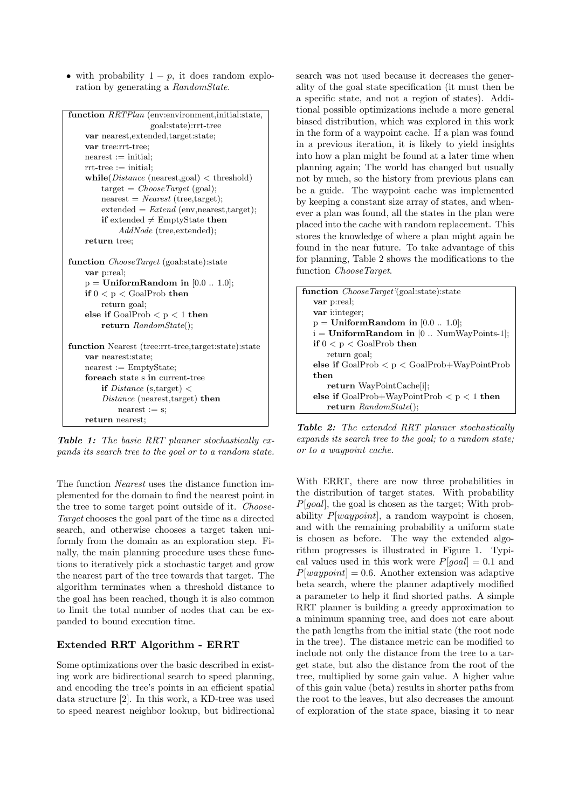• with probability  $1 - p$ , it does random exploration by generating a RandomState.

```
function RRTPlan (env:environment,initial:state,
                     goal:state):rrt-tree
    var nearest,extended,target:state;
    var tree:rrt-tree;
    nearest := initial;rrt-tree := initial:
    while(Distance (nearest,goal) \lt threshold)
        target = ChooseTarget (goal);
        nearest = Nearest (tree, target);
        extended = Extend (env, nearest, target);if extended \neq EmptyState then
             AddNode (tree,extended);
    return tree;
function ChooseTarget (goal:state):state
    var p:real;
    p =UniformRandom in [0.0 \dots 1.0];
    if 0 < p < GoalProb then
        return goal;
    else if GoalProb < p < 1 then
        return RandomState();
function Nearest (tree:rrt-tree,target:state):state
    var nearest:state;
    nearest := EmptyState;
    foreach state s in current-tree
        if Distance (s,target) \ltDistance (nearest,target) then
            nearest := s;return nearest;
```
Table 1: The basic RRT planner stochastically expands its search tree to the goal or to a random state.

The function Nearest uses the distance function implemented for the domain to find the nearest point in the tree to some target point outside of it. Choose-Target chooses the goal part of the time as a directed search, and otherwise chooses a target taken uniformly from the domain as an exploration step. Finally, the main planning procedure uses these functions to iteratively pick a stochastic target and grow the nearest part of the tree towards that target. The algorithm terminates when a threshold distance to the goal has been reached, though it is also common to limit the total number of nodes that can be expanded to bound execution time.

# Extended RRT Algorithm - ERRT

Some optimizations over the basic described in existing work are bidirectional search to speed planning, and encoding the tree's points in an efficient spatial data structure [2]. In this work, a KD-tree was used to speed nearest neighbor lookup, but bidirectional search was not used because it decreases the generality of the goal state specification (it must then be a specific state, and not a region of states). Additional possible optimizations include a more general biased distribution, which was explored in this work in the form of a waypoint cache. If a plan was found in a previous iteration, it is likely to yield insights into how a plan might be found at a later time when planning again; The world has changed but usually not by much, so the history from previous plans can be a guide. The waypoint cache was implemented by keeping a constant size array of states, and whenever a plan was found, all the states in the plan were placed into the cache with random replacement. This stores the knowledge of where a plan might again be found in the near future. To take advantage of this for planning, Table 2 shows the modifications to the function ChooseTarget.

| <b>function</b> <i>ChooseTarget</i> '(goal:state):state |
|---------------------------------------------------------|
| var preal;                                              |
| var i: integer:                                         |
| $p =$ Uniform Random in $[0.0 \dots 1.0]$ ;             |
| $i =$ Uniform Random in $[0 \dots NumWayPoints-1]$ ;    |
| if $0 < p <$ GoalProb then                              |
| return goal:                                            |
| else if $GoalProb < p <$ Goal $Prob+WayPointProb$       |
| then                                                    |
| return WayPointCache i ;                                |
| else if $GoalProb+WayPointProb < p < 1$ then            |
| return $RandomState();$                                 |

Table 2: The extended RRT planner stochastically expands its search tree to the goal; to a random state; or to a waypoint cache.

With ERRT, there are now three probabilities in the distribution of target states. With probability  $P[goal]$ , the goal is chosen as the target; With probability  $P[waypoint]$ , a random waypoint is chosen, and with the remaining probability a uniform state is chosen as before. The way the extended algorithm progresses is illustrated in Figure 1. Typical values used in this work were  $P[goal] = 0.1$  and  $P[waypoint] = 0.6$ . Another extension was adaptive beta search, where the planner adaptively modified a parameter to help it find shorted paths. A simple RRT planner is building a greedy approximation to a minimum spanning tree, and does not care about the path lengths from the initial state (the root node in the tree). The distance metric can be modified to include not only the distance from the tree to a target state, but also the distance from the root of the tree, multiplied by some gain value. A higher value of this gain value (beta) results in shorter paths from the root to the leaves, but also decreases the amount of exploration of the state space, biasing it to near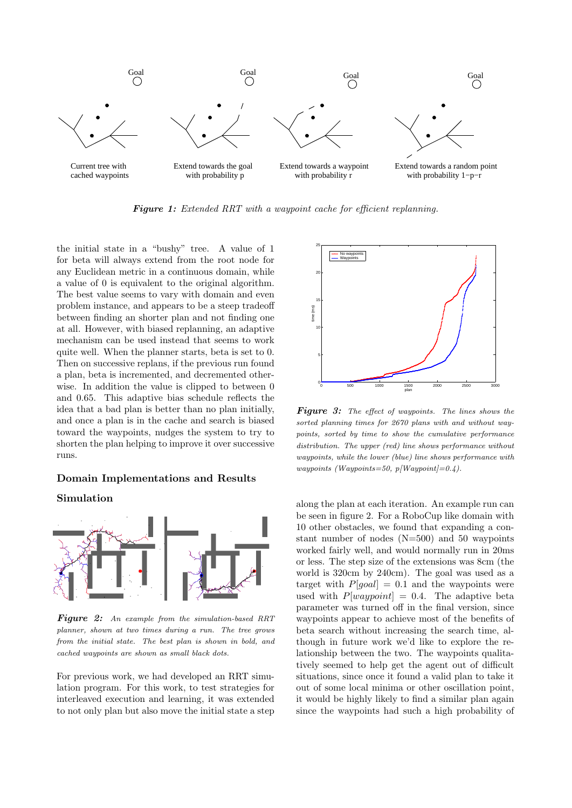

Figure 1: Extended RRT with a waypoint cache for efficient replanning.

the initial state in a "bushy" tree. A value of 1 for beta will always extend from the root node for any Euclidean metric in a continuous domain, while a value of 0 is equivalent to the original algorithm. The best value seems to vary with domain and even problem instance, and appears to be a steep tradeoff between finding an shorter plan and not finding one at all. However, with biased replanning, an adaptive mechanism can be used instead that seems to work quite well. When the planner starts, beta is set to 0. Then on successive replans, if the previous run found a plan, beta is incremented, and decremented otherwise. In addition the value is clipped to between 0 and 0.65. This adaptive bias schedule reflects the idea that a bad plan is better than no plan initially, and once a plan is in the cache and search is biased toward the waypoints, nudges the system to try to shorten the plan helping to improve it over successive runs.

#### Domain Implementations and Results

#### Simulation



Figure 2: An example from the simulation-based RRT planner, shown at two times during a run. The tree grows from the initial state. The best plan is shown in bold, and cached waypoints are shown as small black dots.

For previous work, we had developed an RRT simulation program. For this work, to test strategies for interleaved execution and learning, it was extended to not only plan but also move the initial state a step



**Figure 3:** The effect of waypoints. The lines shows the sorted planning times for 2670 plans with and without waypoints, sorted by time to show the cumulative performance distribution. The upper (red) line shows performance without waypoints, while the lower (blue) line shows performance with waypoints (Waypoints=50,  $p(Wa y point|=0.4)$ ).

along the plan at each iteration. An example run can be seen in figure 2. For a RoboCup like domain with 10 other obstacles, we found that expanding a constant number of nodes (N=500) and 50 waypoints worked fairly well, and would normally run in 20ms or less. The step size of the extensions was 8cm (the world is 320cm by 240cm). The goal was used as a target with  $P[goal] = 0.1$  and the waypoints were used with  $P[waypoint] = 0.4$ . The adaptive beta parameter was turned off in the final version, since waypoints appear to achieve most of the benefits of beta search without increasing the search time, although in future work we'd like to explore the relationship between the two. The waypoints qualitatively seemed to help get the agent out of difficult situations, since once it found a valid plan to take it out of some local minima or other oscillation point, it would be highly likely to find a similar plan again since the waypoints had such a high probability of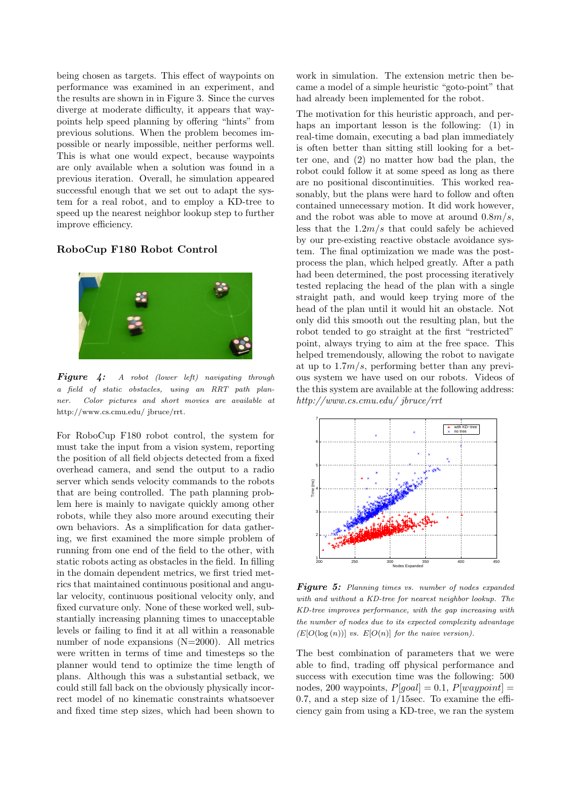being chosen as targets. This effect of waypoints on performance was examined in an experiment, and the results are shown in in Figure 3. Since the curves diverge at moderate difficulty, it appears that waypoints help speed planning by offering "hints" from previous solutions. When the problem becomes impossible or nearly impossible, neither performs well. This is what one would expect, because waypoints are only available when a solution was found in a previous iteration. Overall, he simulation appeared successful enough that we set out to adapt the system for a real robot, and to employ a KD-tree to speed up the nearest neighbor lookup step to further improve efficiency.

#### RoboCup F180 Robot Control



**Figure 4:** A robot (lower left) navigating through a field of static obstacles, using an RRT path planner. Color pictures and short movies are available at http://www.cs.cmu.edu/ jbruce/rrt.

For RoboCup F180 robot control, the system for must take the input from a vision system, reporting the position of all field objects detected from a fixed overhead camera, and send the output to a radio server which sends velocity commands to the robots that are being controlled. The path planning problem here is mainly to navigate quickly among other robots, while they also more around executing their own behaviors. As a simplification for data gathering, we first examined the more simple problem of running from one end of the field to the other, with static robots acting as obstacles in the field. In filling in the domain dependent metrics, we first tried metrics that maintained continuous positional and angular velocity, continuous positional velocity only, and fixed curvature only. None of these worked well, substantially increasing planning times to unacceptable levels or failing to find it at all within a reasonable number of node expansions (N=2000). All metrics were written in terms of time and timesteps so the planner would tend to optimize the time length of plans. Although this was a substantial setback, we could still fall back on the obviously physically incorrect model of no kinematic constraints whatsoever and fixed time step sizes, which had been shown to

work in simulation. The extension metric then became a model of a simple heuristic "goto-point" that had already been implemented for the robot.

The motivation for this heuristic approach, and perhaps an important lesson is the following: (1) in real-time domain, executing a bad plan immediately is often better than sitting still looking for a better one, and (2) no matter how bad the plan, the robot could follow it at some speed as long as there are no positional discontinuities. This worked reasonably, but the plans were hard to follow and often contained unnecessary motion. It did work however, and the robot was able to move at around  $0.8m/s$ , less that the  $1.2m/s$  that could safely be achieved by our pre-existing reactive obstacle avoidance system. The final optimization we made was the postprocess the plan, which helped greatly. After a path had been determined, the post processing iteratively tested replacing the head of the plan with a single straight path, and would keep trying more of the head of the plan until it would hit an obstacle. Not only did this smooth out the resulting plan, but the robot tended to go straight at the first "restricted" point, always trying to aim at the free space. This helped tremendously, allowing the robot to navigate at up to  $1.7m/s$ , performing better than any previous system we have used on our robots. Videos of the this system are available at the following address: http://www.cs.cmu.edu/ jbruce/rrt



Figure 5: Planning times vs. number of nodes expanded with and without a KD-tree for nearest neighbor lookup. The KD-tree improves performance, with the gap increasing with the number of nodes due to its expected complexity advantage  $(E[O(\log(n))]$  vs.  $E[O(n)]$  for the naive version).

The best combination of parameters that we were able to find, trading off physical performance and success with execution time was the following: 500 nodes, 200 waypoints,  $P[goal] = 0.1, P[waypoint] =$ 0.7, and a step size of  $1/15$ sec. To examine the efficiency gain from using a KD-tree, we ran the system